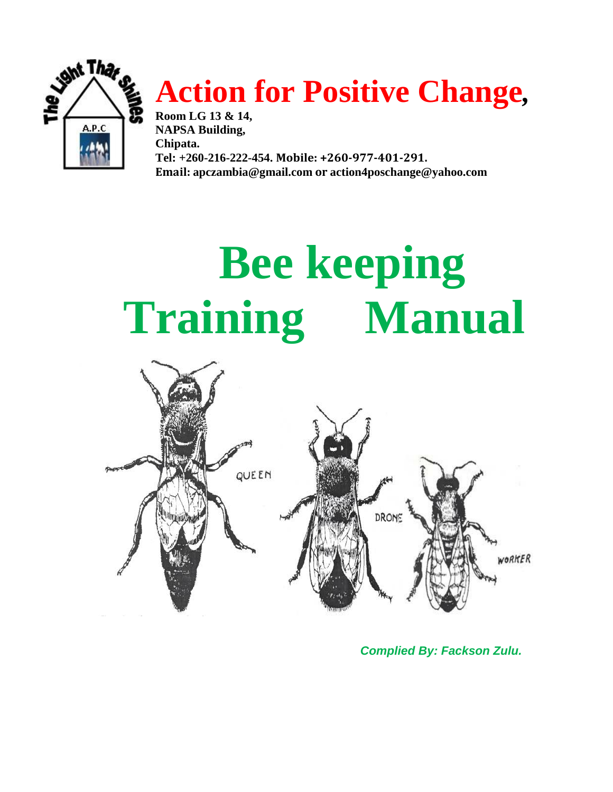

## **Action for Positive Change***,*

**Room LG 13 & 14, NAPSA Building, Chipata. Tel: +260-216-222-454. Mobile: +260-977-401-291. Email: [apczambia@gmail.com](mailto:apczambia@gmail.com) or [action4poschange@yahoo.com](mailto:action4poschange@yahoo.com)**

# **Bee keeping Training Manual**



*Complied By: Fackson Zulu.*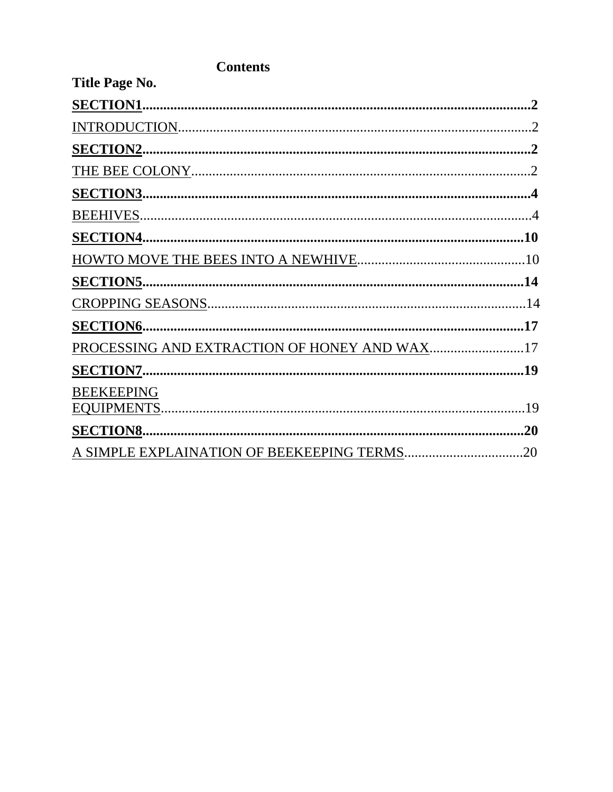| Title Page No.                               |           |
|----------------------------------------------|-----------|
| <b>SECTION1.</b>                             | $\cdot$ 2 |
|                                              |           |
|                                              |           |
|                                              |           |
|                                              |           |
|                                              |           |
|                                              |           |
|                                              |           |
| <b>SECTION5</b>                              |           |
|                                              |           |
|                                              |           |
| PROCESSING AND EXTRACTION OF HONEY AND WAX17 |           |
|                                              |           |
| <b>BEEKEEPING</b>                            |           |
|                                              |           |
| <b>SECTION8</b>                              | .20       |
|                                              |           |

#### **Contents**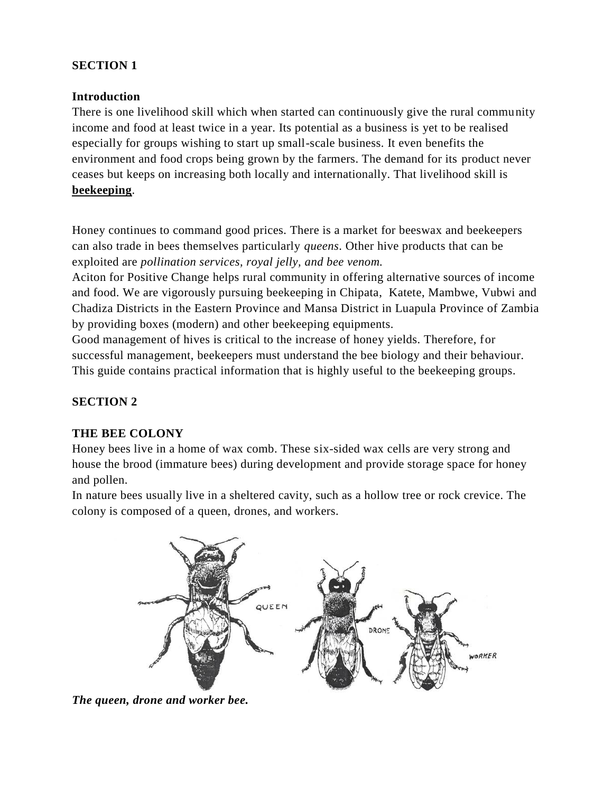#### **SECTION 1**

#### **Introduction**

There is one livelihood skill which when started can continuously give the rural community income and food at least twice in a year. Its potential as a business is yet to be realised especially for groups wishing to start up small-scale business. It even benefits the environment and food crops being grown by the farmers. The demand for its product never ceases but keeps on increasing both locally and internationally. That livelihood skill is **beekeeping**.

Honey continues to command good prices. There is a market for beeswax and beekeepers can also trade in bees themselves particularly *queens*. Other hive products that can be exploited are *pollination services, royal jelly, and bee venom.* 

Aciton for Positive Change helps rural community in offering alternative sources of income and food. We are vigorously pursuing beekeeping in Chipata, Katete, Mambwe, Vubwi and Chadiza Districts in the Eastern Province and Mansa District in Luapula Province of Zambia by providing boxes (modern) and other beekeeping equipments.

Good management of hives is critical to the increase of honey yields. Therefore, for successful management, beekeepers must understand the bee biology and their behaviour. This guide contains practical information that is highly useful to the beekeeping groups.

#### **SECTION 2**

#### **THE BEE COLONY**

Honey bees live in a home of wax comb. These six-sided wax cells are very strong and house the brood (immature bees) during development and provide storage space for honey and pollen.

In nature bees usually live in a sheltered cavity, such as a hollow tree or rock crevice. The colony is composed of a queen, drones, and workers.



*The queen, drone and worker bee.*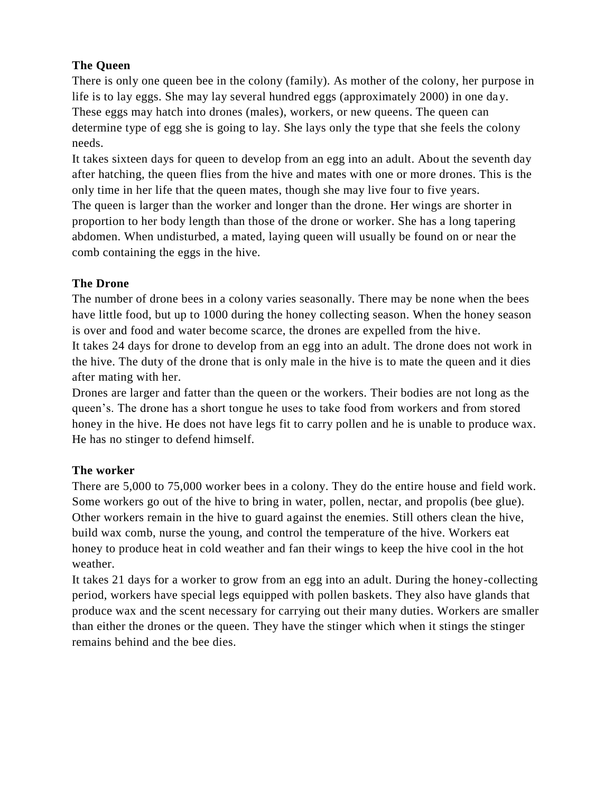#### **The Queen**

There is only one queen bee in the colony (family). As mother of the colony, her purpose in life is to lay eggs. She may lay several hundred eggs (approximately 2000) in one day. These eggs may hatch into drones (males), workers, or new queens. The queen can determine type of egg she is going to lay. She lays only the type that she feels the colony needs.

It takes sixteen days for queen to develop from an egg into an adult. About the seventh day after hatching, the queen flies from the hive and mates with one or more drones. This is the only time in her life that the queen mates, though she may live four to five years. The queen is larger than the worker and longer than the drone. Her wings are shorter in proportion to her body length than those of the drone or worker. She has a long tapering abdomen. When undisturbed, a mated, laying queen will usually be found on or near the comb containing the eggs in the hive.

#### **The Drone**

The number of drone bees in a colony varies seasonally. There may be none when the bees have little food, but up to 1000 during the honey collecting season. When the honey season is over and food and water become scarce, the drones are expelled from the hive. It takes 24 days for drone to develop from an egg into an adult. The drone does not work in the hive. The duty of the drone that is only male in the hive is to mate the queen and it dies after mating with her.

Drones are larger and fatter than the queen or the workers. Their bodies are not long as the queen's. The drone has a short tongue he uses to take food from workers and from stored honey in the hive. He does not have legs fit to carry pollen and he is unable to produce wax. He has no stinger to defend himself.

#### **The worker**

There are 5,000 to 75,000 worker bees in a colony. They do the entire house and field work. Some workers go out of the hive to bring in water, pollen, nectar, and propolis (bee glue). Other workers remain in the hive to guard against the enemies. Still others clean the hive, build wax comb, nurse the young, and control the temperature of the hive. Workers eat honey to produce heat in cold weather and fan their wings to keep the hive cool in the hot weather.

It takes 21 days for a worker to grow from an egg into an adult. During the honey-collecting period, workers have special legs equipped with pollen baskets. They also have glands that produce wax and the scent necessary for carrying out their many duties. Workers are smaller than either the drones or the queen. They have the stinger which when it stings the stinger remains behind and the bee dies.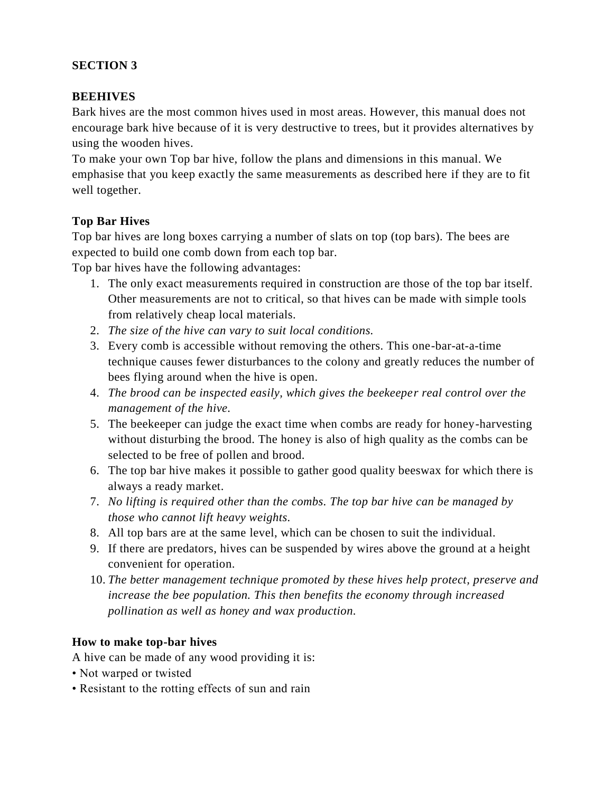#### **SECTION 3**

#### **BEEHIVES**

Bark hives are the most common hives used in most areas. However, this manual does not encourage bark hive because of it is very destructive to trees, but it provides alternatives by using the wooden hives.

To make your own Top bar hive, follow the plans and dimensions in this manual. We emphasise that you keep exactly the same measurements as described here if they are to fit well together.

#### **Top Bar Hives**

Top bar hives are long boxes carrying a number of slats on top (top bars). The bees are expected to build one comb down from each top bar.

Top bar hives have the following advantages:

- 1. The only exact measurements required in construction are those of the top bar itself. Other measurements are not to critical, so that hives can be made with simple tools from relatively cheap local materials.
- 2. *The size of the hive can vary to suit local conditions.*
- 3. Every comb is accessible without removing the others. This one-bar-at-a-time technique causes fewer disturbances to the colony and greatly reduces the number of bees flying around when the hive is open.
- 4. *The brood can be inspected easily, which gives the beekeeper real control over the management of the hive.*
- 5. The beekeeper can judge the exact time when combs are ready for honey-harvesting without disturbing the brood. The honey is also of high quality as the combs can be selected to be free of pollen and brood.
- 6. The top bar hive makes it possible to gather good quality beeswax for which there is always a ready market.
- 7. *No lifting is required other than the combs. The top bar hive can be managed by those who cannot lift heavy weights.*
- 8. All top bars are at the same level, which can be chosen to suit the individual.
- 9. If there are predators, hives can be suspended by wires above the ground at a height convenient for operation.
- 10. *The better management technique promoted by these hives help protect, preserve and increase the bee population. This then benefits the economy through increased pollination as well as honey and wax production.*

#### **How to make top-bar hives**

A hive can be made of any wood providing it is:

- Not warped or twisted
- Resistant to the rotting effects of sun and rain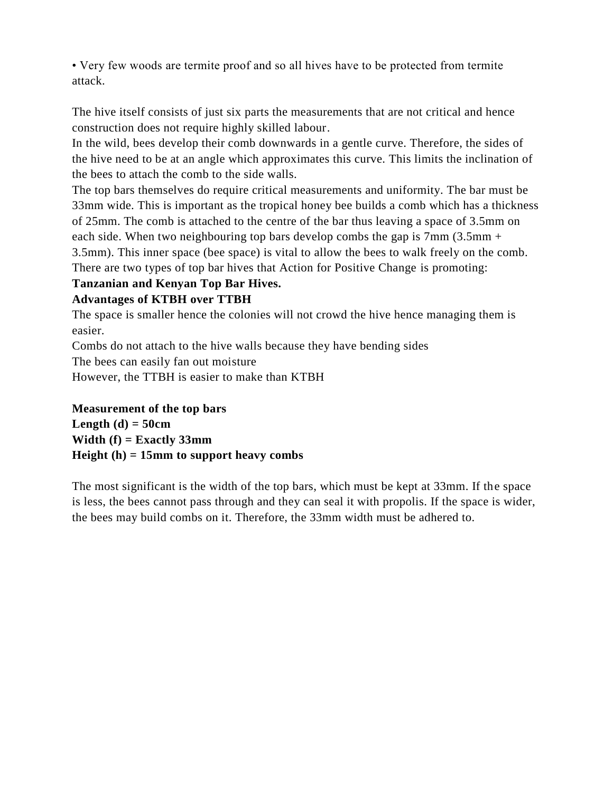• Very few woods are termite proof and so all hives have to be protected from termite attack.

The hive itself consists of just six parts the measurements that are not critical and hence construction does not require highly skilled labour.

In the wild, bees develop their comb downwards in a gentle curve. Therefore, the sides of the hive need to be at an angle which approximates this curve. This limits the inclination of the bees to attach the comb to the side walls.

The top bars themselves do require critical measurements and uniformity. The bar must be 33mm wide. This is important as the tropical honey bee builds a comb which has a thickness of 25mm. The comb is attached to the centre of the bar thus leaving a space of 3.5mm on each side. When two neighbouring top bars develop combs the gap is 7mm (3.5mm + 3.5mm). This inner space (bee space) is vital to allow the bees to walk freely on the comb. There are two types of top bar hives that Action for Positive Change is promoting:

### **Tanzanian and Kenyan Top Bar Hives.**

#### **Advantages of KTBH over TTBH**

The space is smaller hence the colonies will not crowd the hive hence managing them is easier.

Combs do not attach to the hive walls because they have bending sides

The bees can easily fan out moisture

However, the TTBH is easier to make than KTBH

**Measurement of the top bars**  Length  $(d) = 50cm$ **Width (f) = Exactly 33mm Height (h) = 15mm to support heavy combs** 

The most significant is the width of the top bars, which must be kept at 33mm. If the space is less, the bees cannot pass through and they can seal it with propolis. If the space is wider, the bees may build combs on it. Therefore, the 33mm width must be adhered to.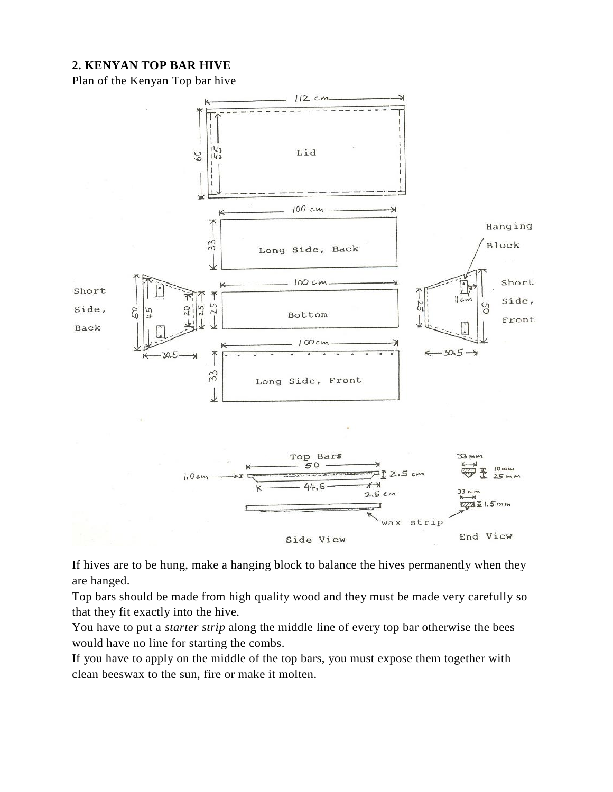#### **2. KENYAN TOP BAR HIVE**

Plan of the Kenyan Top bar hive



If hives are to be hung, make a hanging block to balance the hives permanently when they are hanged.

Top bars should be made from high quality wood and they must be made very carefully so that they fit exactly into the hive.

You have to put a *starter strip* along the middle line of every top bar otherwise the bees would have no line for starting the combs.

If you have to apply on the middle of the top bars, you must expose them together with clean beeswax to the sun, fire or make it molten.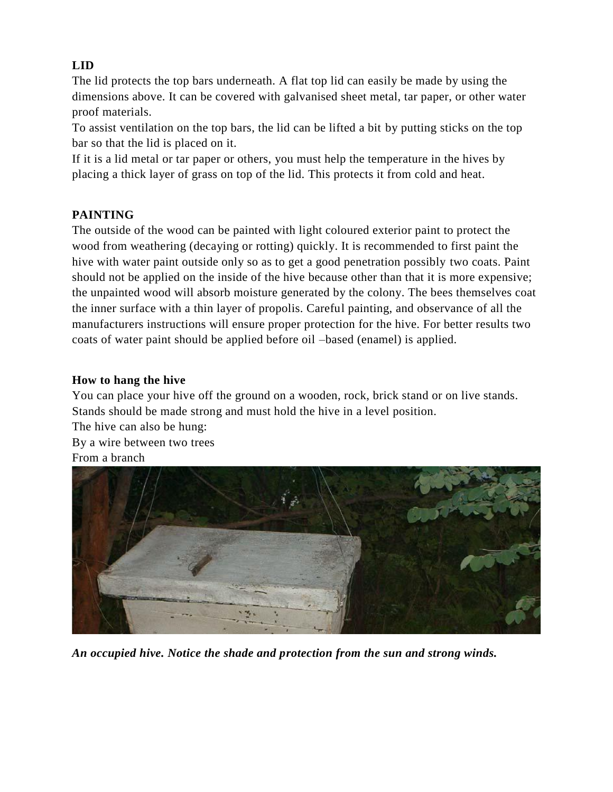#### **LID**

The lid protects the top bars underneath. A flat top lid can easily be made by using the dimensions above. It can be covered with galvanised sheet metal, tar paper, or other water proof materials.

To assist ventilation on the top bars, the lid can be lifted a bit by putting sticks on the top bar so that the lid is placed on it.

If it is a lid metal or tar paper or others, you must help the temperature in the hives by placing a thick layer of grass on top of the lid. This protects it from cold and heat.

#### **PAINTING**

The outside of the wood can be painted with light coloured exterior paint to protect the wood from weathering (decaying or rotting) quickly. It is recommended to first paint the hive with water paint outside only so as to get a good penetration possibly two coats. Paint should not be applied on the inside of the hive because other than that it is more expensive; the unpainted wood will absorb moisture generated by the colony. The bees themselves coat the inner surface with a thin layer of propolis. Careful painting, and observance of all the manufacturers instructions will ensure proper protection for the hive. For better results two coats of water paint should be applied before oil –based (enamel) is applied.

#### **How to hang the hive**

You can place your hive off the ground on a wooden, rock, brick stand or on live stands. Stands should be made strong and must hold the hive in a level position.

The hive can also be hung: By a wire between two trees From a branch



*An occupied hive. Notice the shade and protection from the sun and strong winds.*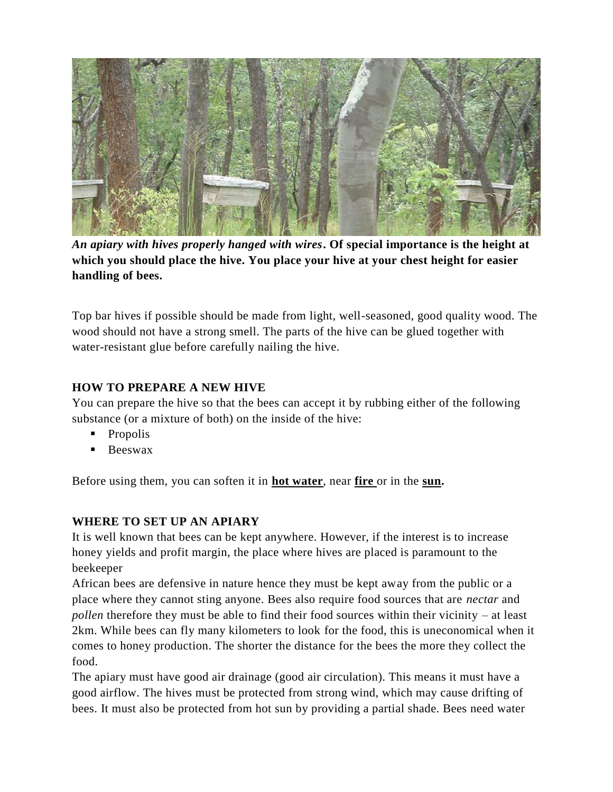

*An apiary with hives properly hanged with wires***. Of special importance is the height at which you should place the hive. You place your hive at your chest height for easier handling of bees.** 

Top bar hives if possible should be made from light, well-seasoned, good quality wood. The wood should not have a strong smell. The parts of the hive can be glued together with water-resistant glue before carefully nailing the hive.

#### **HOW TO PREPARE A NEW HIVE**

You can prepare the hive so that the bees can accept it by rubbing either of the following substance (or a mixture of both) on the inside of the hive:

- **Propolis**
- **Beeswax**

Before using them, you can soften it in **hot water**, near **fire** or in the **sun.**

#### **WHERE TO SET UP AN APIARY**

It is well known that bees can be kept anywhere. However, if the interest is to increase honey yields and profit margin, the place where hives are placed is paramount to the beekeeper

African bees are defensive in nature hence they must be kept away from the public or a place where they cannot sting anyone. Bees also require food sources that are *nectar* and *pollen* therefore they must be able to find their food sources within their vicinity – at least 2km. While bees can fly many kilometers to look for the food, this is uneconomical when it comes to honey production. The shorter the distance for the bees the more they collect the food.

The apiary must have good air drainage (good air circulation). This means it must have a good airflow. The hives must be protected from strong wind, which may cause drifting of bees. It must also be protected from hot sun by providing a partial shade. Bees need water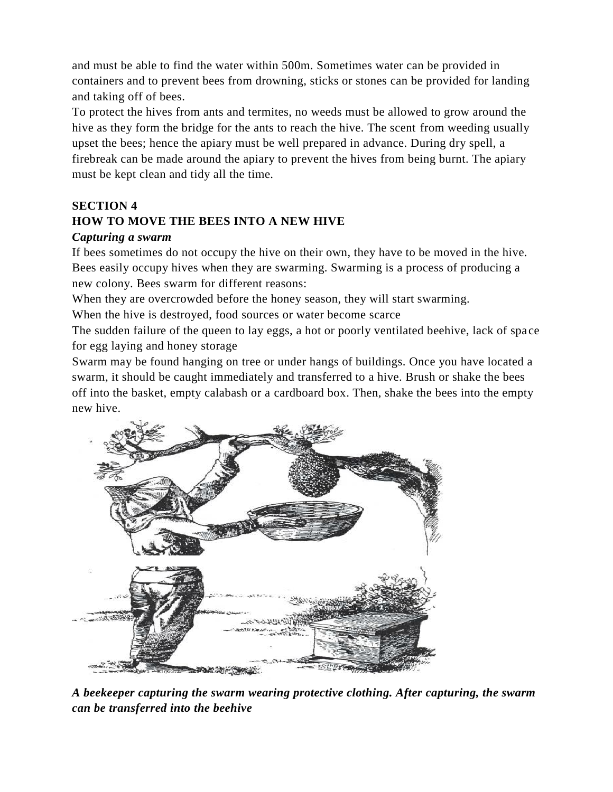and must be able to find the water within 500m. Sometimes water can be provided in containers and to prevent bees from drowning, sticks or stones can be provided for landing and taking off of bees.

To protect the hives from ants and termites, no weeds must be allowed to grow around the hive as they form the bridge for the ants to reach the hive. The scent from weeding usually upset the bees; hence the apiary must be well prepared in advance. During dry spell, a firebreak can be made around the apiary to prevent the hives from being burnt. The apiary must be kept clean and tidy all the time.

#### **SECTION 4**

#### **HOW TO MOVE THE BEES INTO A NEW HIVE**

#### *Capturing a swarm*

If bees sometimes do not occupy the hive on their own, they have to be moved in the hive. Bees easily occupy hives when they are swarming. Swarming is a process of producing a new colony. Bees swarm for different reasons:

When they are overcrowded before the honey season, they will start swarming.

When the hive is destroyed, food sources or water become scarce

The sudden failure of the queen to lay eggs, a hot or poorly ventilated beehive, lack of space for egg laying and honey storage

Swarm may be found hanging on tree or under hangs of buildings. Once you have located a swarm, it should be caught immediately and transferred to a hive. Brush or shake the bees off into the basket, empty calabash or a cardboard box. Then, shake the bees into the empty new hive.



*A beekeeper capturing the swarm wearing protective clothing. After capturing, the swarm can be transferred into the beehive*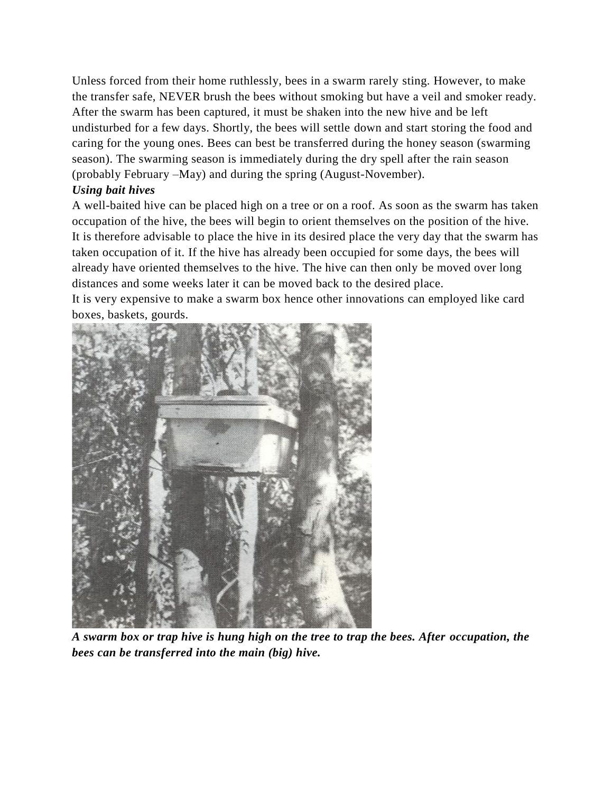Unless forced from their home ruthlessly, bees in a swarm rarely sting. However, to make the transfer safe, NEVER brush the bees without smoking but have a veil and smoker ready. After the swarm has been captured, it must be shaken into the new hive and be left undisturbed for a few days. Shortly, the bees will settle down and start storing the food and caring for the young ones. Bees can best be transferred during the honey season (swarming season). The swarming season is immediately during the dry spell after the rain season (probably February –May) and during the spring (August-November).

#### *Using bait hives*

A well-baited hive can be placed high on a tree or on a roof. As soon as the swarm has taken occupation of the hive, the bees will begin to orient themselves on the position of the hive. It is therefore advisable to place the hive in its desired place the very day that the swarm has taken occupation of it. If the hive has already been occupied for some days, the bees will already have oriented themselves to the hive. The hive can then only be moved over long distances and some weeks later it can be moved back to the desired place.

It is very expensive to make a swarm box hence other innovations can employed like card boxes, baskets, gourds.



*A swarm box or trap hive is hung high on the tree to trap the bees. After occupation, the bees can be transferred into the main (big) hive.*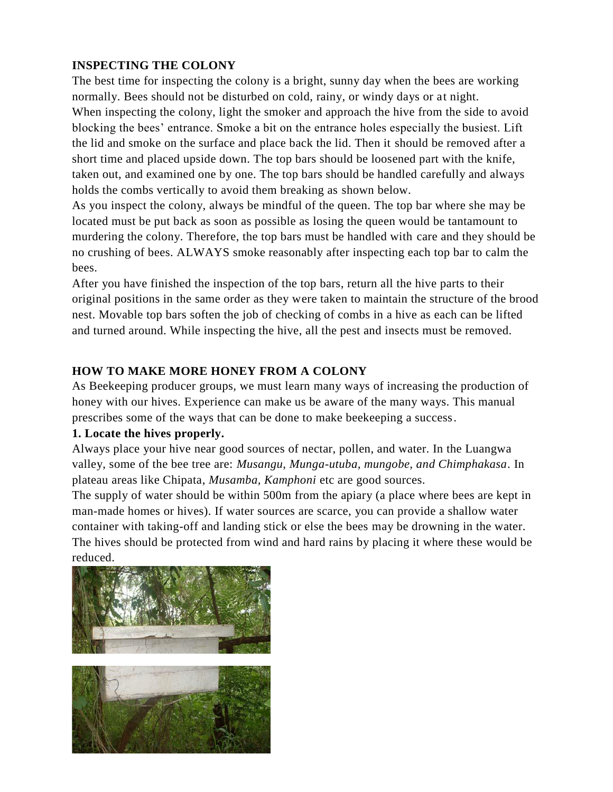#### **INSPECTING THE COLONY**

The best time for inspecting the colony is a bright, sunny day when the bees are working normally. Bees should not be disturbed on cold, rainy, or windy days or at night. When inspecting the colony, light the smoker and approach the hive from the side to avoid blocking the bees' entrance. Smoke a bit on the entrance holes especially the busiest. Lift the lid and smoke on the surface and place back the lid. Then it should be removed after a short time and placed upside down. The top bars should be loosened part with the knife, taken out, and examined one by one. The top bars should be handled carefully and always holds the combs vertically to avoid them breaking as shown below.

As you inspect the colony, always be mindful of the queen. The top bar where she may be located must be put back as soon as possible as losing the queen would be tantamount to murdering the colony. Therefore, the top bars must be handled with care and they should be no crushing of bees. ALWAYS smoke reasonably after inspecting each top bar to calm the bees.

After you have finished the inspection of the top bars, return all the hive parts to their original positions in the same order as they were taken to maintain the structure of the brood nest. Movable top bars soften the job of checking of combs in a hive as each can be lifted and turned around. While inspecting the hive, all the pest and insects must be removed.

#### **HOW TO MAKE MORE HONEY FROM A COLONY**

As Beekeeping producer groups, we must learn many ways of increasing the production of honey with our hives. Experience can make us be aware of the many ways. This manual prescribes some of the ways that can be done to make beekeeping a success.

#### **1. Locate the hives properly.**

Always place your hive near good sources of nectar, pollen, and water. In the Luangwa valley, some of the bee tree are: *Musangu, Munga-utuba, mungobe, and Chimphakasa*. In plateau areas like Chipata, *Musamba, Kamphoni* etc are good sources.

The supply of water should be within 500m from the apiary (a place where bees are kept in man-made homes or hives). If water sources are scarce, you can provide a shallow water container with taking-off and landing stick or else the bees may be drowning in the water. The hives should be protected from wind and hard rains by placing it where these would be reduced.

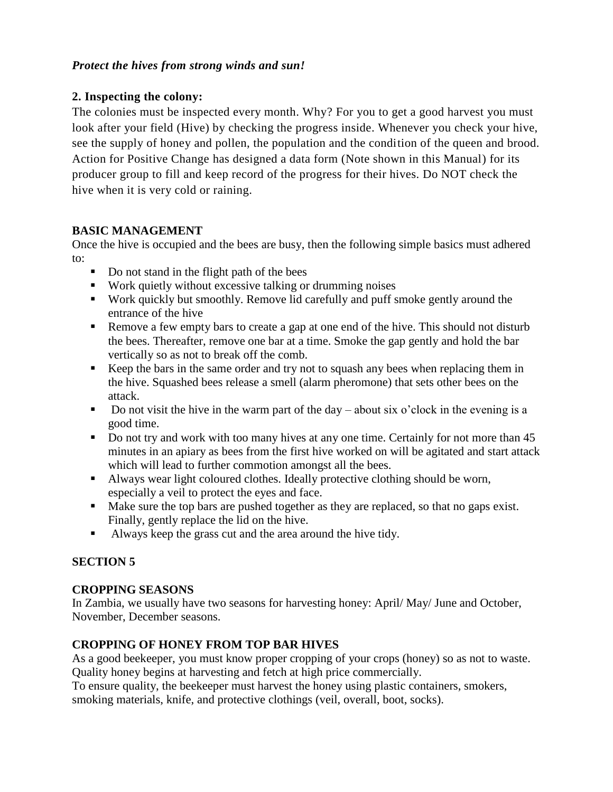#### *Protect the hives from strong winds and sun!*

#### **2. Inspecting the colony:**

The colonies must be inspected every month. Why? For you to get a good harvest you must look after your field (Hive) by checking the progress inside. Whenever you check your hive, see the supply of honey and pollen, the population and the condition of the queen and brood. Action for Positive Change has designed a data form (Note shown in this Manual) for its producer group to fill and keep record of the progress for their hives. Do NOT check the hive when it is very cold or raining.

#### **BASIC MANAGEMENT**

Once the hive is occupied and the bees are busy, then the following simple basics must adhered to:

- Do not stand in the flight path of the bees
- Work quietly without excessive talking or drumming noises
- Work quickly but smoothly. Remove lid carefully and puff smoke gently around the entrance of the hive
- Remove a few empty bars to create a gap at one end of the hive. This should not disturb the bees. Thereafter, remove one bar at a time. Smoke the gap gently and hold the bar vertically so as not to break off the comb.
- Keep the bars in the same order and try not to squash any bees when replacing them in the hive. Squashed bees release a smell (alarm pheromone) that sets other bees on the attack.
- Do not visit the hive in the warm part of the day about six o'clock in the evening is a good time.
- Do not try and work with too many hives at any one time. Certainly for not more than 45 minutes in an apiary as bees from the first hive worked on will be agitated and start attack which will lead to further commotion amongst all the bees.
- Always wear light coloured clothes. Ideally protective clothing should be worn, especially a veil to protect the eyes and face.
- Make sure the top bars are pushed together as they are replaced, so that no gaps exist. Finally, gently replace the lid on the hive.
- Always keep the grass cut and the area around the hive tidy.

#### **SECTION 5**

#### **CROPPING SEASONS**

In Zambia, we usually have two seasons for harvesting honey: April/ May/ June and October, November, December seasons.

#### **CROPPING OF HONEY FROM TOP BAR HIVES**

As a good beekeeper, you must know proper cropping of your crops (honey) so as not to waste. Quality honey begins at harvesting and fetch at high price commercially.

To ensure quality, the beekeeper must harvest the honey using plastic containers, smokers, smoking materials, knife, and protective clothings (veil, overall, boot, socks).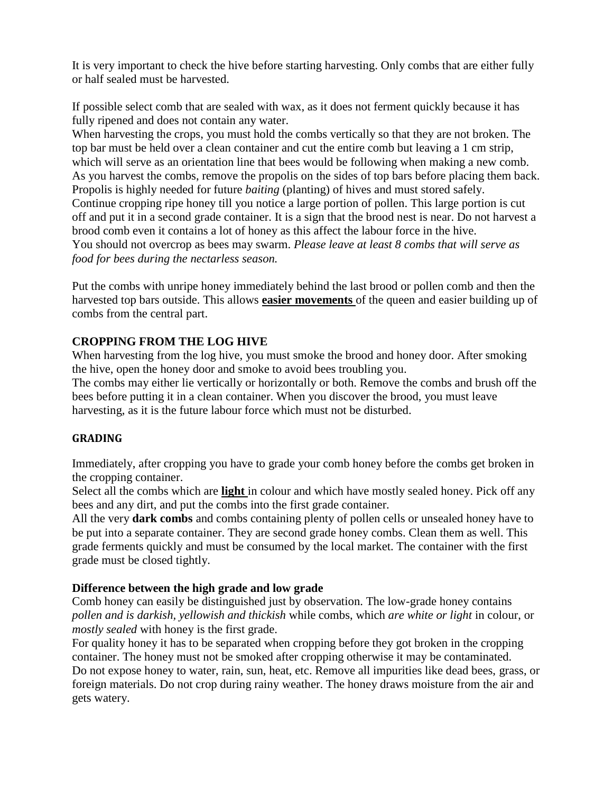It is very important to check the hive before starting harvesting. Only combs that are either fully or half sealed must be harvested.

If possible select comb that are sealed with wax, as it does not ferment quickly because it has fully ripened and does not contain any water.

When harvesting the crops, you must hold the combs vertically so that they are not broken. The top bar must be held over a clean container and cut the entire comb but leaving a 1 cm strip, which will serve as an orientation line that bees would be following when making a new comb. As you harvest the combs, remove the propolis on the sides of top bars before placing them back. Propolis is highly needed for future *baiting* (planting) of hives and must stored safely. Continue cropping ripe honey till you notice a large portion of pollen. This large portion is cut off and put it in a second grade container. It is a sign that the brood nest is near. Do not harvest a brood comb even it contains a lot of honey as this affect the labour force in the hive. You should not overcrop as bees may swarm. *Please leave at least 8 combs that will serve as food for bees during the nectarless season.* 

Put the combs with unripe honey immediately behind the last brood or pollen comb and then the harvested top bars outside. This allows **easier movements** of the queen and easier building up of combs from the central part.

#### **CROPPING FROM THE LOG HIVE**

When harvesting from the log hive, you must smoke the brood and honey door. After smoking the hive, open the honey door and smoke to avoid bees troubling you.

The combs may either lie vertically or horizontally or both. Remove the combs and brush off the bees before putting it in a clean container. When you discover the brood, you must leave harvesting, as it is the future labour force which must not be disturbed.

#### **GRADING**

Immediately, after cropping you have to grade your comb honey before the combs get broken in the cropping container.

Select all the combs which are **light** in colour and which have mostly sealed honey. Pick off any bees and any dirt, and put the combs into the first grade container.

All the very **dark combs** and combs containing plenty of pollen cells or unsealed honey have to be put into a separate container. They are second grade honey combs. Clean them as well. This grade ferments quickly and must be consumed by the local market. The container with the first grade must be closed tightly.

#### **Difference between the high grade and low grade**

Comb honey can easily be distinguished just by observation. The low-grade honey contains *pollen and is darkish, yellowish and thickish* while combs, which *are white or light* in colour, or *mostly sealed* with honey is the first grade.

For quality honey it has to be separated when cropping before they got broken in the cropping container. The honey must not be smoked after cropping otherwise it may be contaminated. Do not expose honey to water, rain, sun, heat, etc. Remove all impurities like dead bees, grass, or foreign materials. Do not crop during rainy weather. The honey draws moisture from the air and gets watery.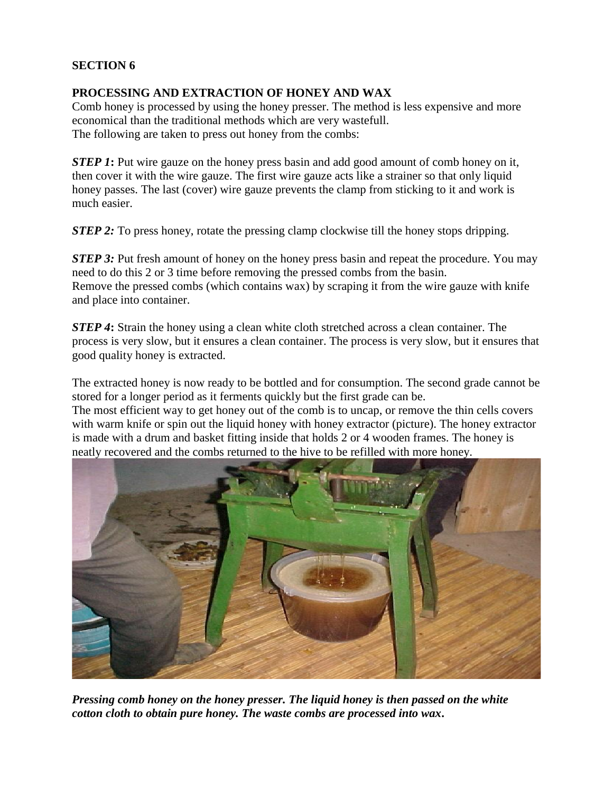#### **SECTION 6**

#### **PROCESSING AND EXTRACTION OF HONEY AND WAX**

Comb honey is processed by using the honey presser. The method is less expensive and more economical than the traditional methods which are very wastefull. The following are taken to press out honey from the combs:

*STEP 1*: Put wire gauze on the honey press basin and add good amount of comb honey on it, then cover it with the wire gauze. The first wire gauze acts like a strainer so that only liquid honey passes. The last (cover) wire gauze prevents the clamp from sticking to it and work is much easier.

*STEP 2:* To press honey, rotate the pressing clamp clockwise till the honey stops dripping.

*STEP 3:* Put fresh amount of honey on the honey press basin and repeat the procedure. You may need to do this 2 or 3 time before removing the pressed combs from the basin. Remove the pressed combs (which contains wax) by scraping it from the wire gauze with knife and place into container.

*STEP 4***:** Strain the honey using a clean white cloth stretched across a clean container. The process is very slow, but it ensures a clean container. The process is very slow, but it ensures that good quality honey is extracted.

The extracted honey is now ready to be bottled and for consumption. The second grade cannot be stored for a longer period as it ferments quickly but the first grade can be. The most efficient way to get honey out of the comb is to uncap, or remove the thin cells covers

with warm knife or spin out the liquid honey with honey extractor (picture). The honey extractor is made with a drum and basket fitting inside that holds 2 or 4 wooden frames. The honey is neatly recovered and the combs returned to the hive to be refilled with more honey.



*Pressing comb honey on the honey presser. The liquid honey is then passed on the white cotton cloth to obtain pure honey. The waste combs are processed into wax***.**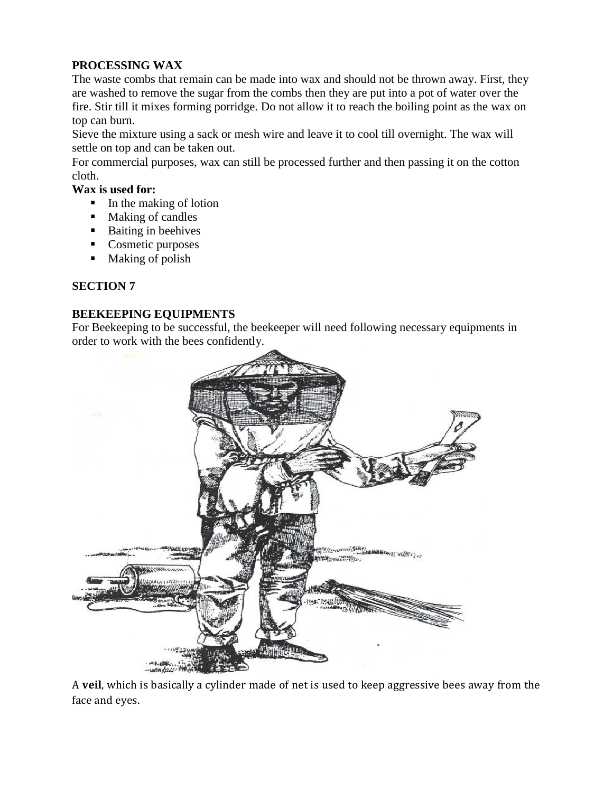#### **PROCESSING WAX**

The waste combs that remain can be made into wax and should not be thrown away. First, they are washed to remove the sugar from the combs then they are put into a pot of water over the fire. Stir till it mixes forming porridge. Do not allow it to reach the boiling point as the wax on top can burn.

Sieve the mixture using a sack or mesh wire and leave it to cool till overnight. The wax will settle on top and can be taken out.

For commercial purposes, wax can still be processed further and then passing it on the cotton cloth.

#### **Wax is used for:**

- $\blacksquare$  In the making of lotion
- Making of candles
- Baiting in beehives
- Cosmetic purposes
- Making of polish

#### **SECTION 7**

#### **BEEKEEPING EQUIPMENTS**

For Beekeeping to be successful, the beekeeper will need following necessary equipments in order to work with the bees confidently.



A **veil**, which is basically a cylinder made of net is used to keep aggressive bees away from the face and eyes.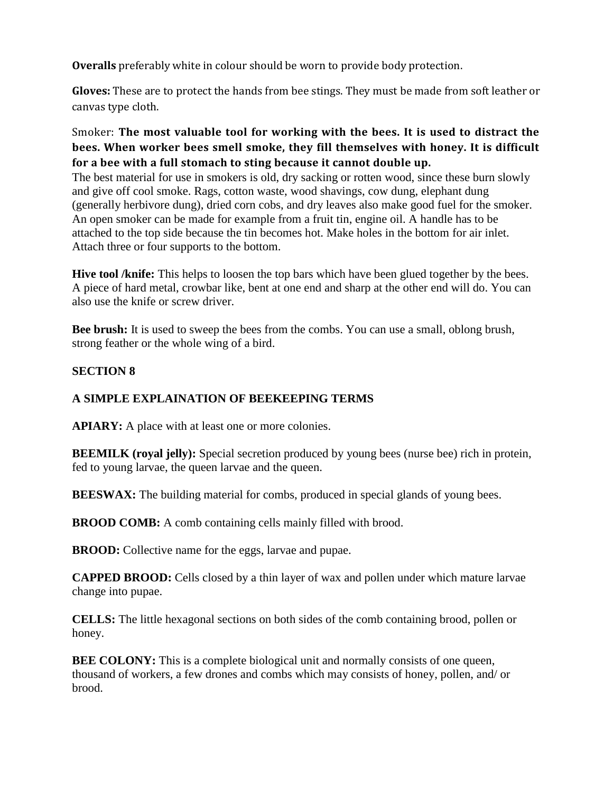**Overalls** preferably white in colour should be worn to provide body protection.

**Gloves:** These are to protect the hands from bee stings. They must be made from soft leather or canvas type cloth.

#### Smoker: **The most valuable tool for working with the bees. It is used to distract the bees. When worker bees smell smoke, they fill themselves with honey. It is difficult for a bee with a full stomach to sting because it cannot double up.**

The best material for use in smokers is old, dry sacking or rotten wood, since these burn slowly and give off cool smoke. Rags, cotton waste, wood shavings, cow dung, elephant dung (generally herbivore dung), dried corn cobs, and dry leaves also make good fuel for the smoker. An open smoker can be made for example from a fruit tin, engine oil. A handle has to be attached to the top side because the tin becomes hot. Make holes in the bottom for air inlet. Attach three or four supports to the bottom.

**Hive tool /knife:** This helps to loosen the top bars which have been glued together by the bees. A piece of hard metal, crowbar like, bent at one end and sharp at the other end will do. You can also use the knife or screw driver.

**Bee brush:** It is used to sweep the bees from the combs. You can use a small, oblong brush, strong feather or the whole wing of a bird.

#### **SECTION 8**

#### **A SIMPLE EXPLAINATION OF BEEKEEPING TERMS**

**APIARY:** A place with at least one or more colonies.

**BEEMILK (royal jelly):** Special secretion produced by young bees (nurse bee) rich in protein, fed to young larvae, the queen larvae and the queen.

**BEESWAX:** The building material for combs, produced in special glands of young bees.

**BROOD COMB:** A comb containing cells mainly filled with brood.

**BROOD:** Collective name for the eggs, larvae and pupae.

**CAPPED BROOD:** Cells closed by a thin layer of wax and pollen under which mature larvae change into pupae.

**CELLS:** The little hexagonal sections on both sides of the comb containing brood, pollen or honey.

**BEE COLONY:** This is a complete biological unit and normally consists of one queen, thousand of workers, a few drones and combs which may consists of honey, pollen, and/ or brood.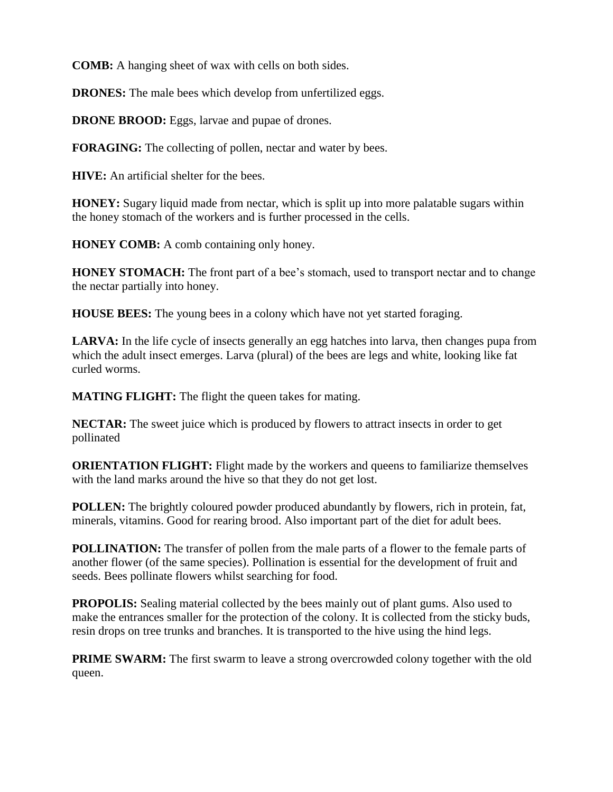**COMB:** A hanging sheet of wax with cells on both sides.

**DRONES:** The male bees which develop from unfertilized eggs.

**DRONE BROOD:** Eggs, larvae and pupae of drones.

**FORAGING:** The collecting of pollen, nectar and water by bees.

**HIVE:** An artificial shelter for the bees.

**HONEY:** Sugary liquid made from nectar, which is split up into more palatable sugars within the honey stomach of the workers and is further processed in the cells.

**HONEY COMB:** A comb containing only honey.

**HONEY STOMACH:** The front part of a bee's stomach, used to transport nectar and to change the nectar partially into honey.

**HOUSE BEES:** The young bees in a colony which have not yet started foraging.

LARVA: In the life cycle of insects generally an egg hatches into larva, then changes pupa from which the adult insect emerges. Larva (plural) of the bees are legs and white, looking like fat curled worms.

**MATING FLIGHT:** The flight the queen takes for mating.

**NECTAR:** The sweet juice which is produced by flowers to attract insects in order to get pollinated

**ORIENTATION FLIGHT:** Flight made by the workers and queens to familiarize themselves with the land marks around the hive so that they do not get lost.

**POLLEN:** The brightly coloured powder produced abundantly by flowers, rich in protein, fat, minerals, vitamins. Good for rearing brood. Also important part of the diet for adult bees.

**POLLINATION:** The transfer of pollen from the male parts of a flower to the female parts of another flower (of the same species). Pollination is essential for the development of fruit and seeds. Bees pollinate flowers whilst searching for food.

**PROPOLIS:** Sealing material collected by the bees mainly out of plant gums. Also used to make the entrances smaller for the protection of the colony. It is collected from the sticky buds, resin drops on tree trunks and branches. It is transported to the hive using the hind legs.

**PRIME SWARM:** The first swarm to leave a strong overcrowded colony together with the old queen.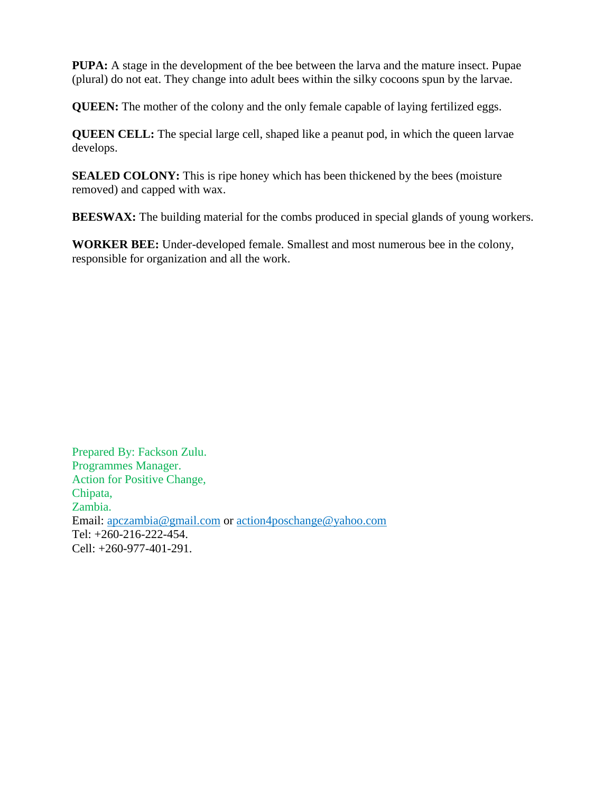**PUPA:** A stage in the development of the bee between the larva and the mature insect. Pupae (plural) do not eat. They change into adult bees within the silky cocoons spun by the larvae.

**QUEEN:** The mother of the colony and the only female capable of laying fertilized eggs.

**QUEEN CELL:** The special large cell, shaped like a peanut pod, in which the queen larvae develops.

**SEALED COLONY:** This is ripe honey which has been thickened by the bees (moisture removed) and capped with wax.

**BEESWAX:** The building material for the combs produced in special glands of young workers.

**WORKER BEE:** Under-developed female. Smallest and most numerous bee in the colony, responsible for organization and all the work.

Prepared By: Fackson Zulu. Programmes Manager. Action for Positive Change, Chipata, Zambia. Email: [apczambia@gmail.com](mailto:apczambia@gmail.com) or [action4poschange@yahoo.com](mailto:action4poschange@yahoo.com) Tel: +260-216-222-454. Cell: +260-977-401-291.